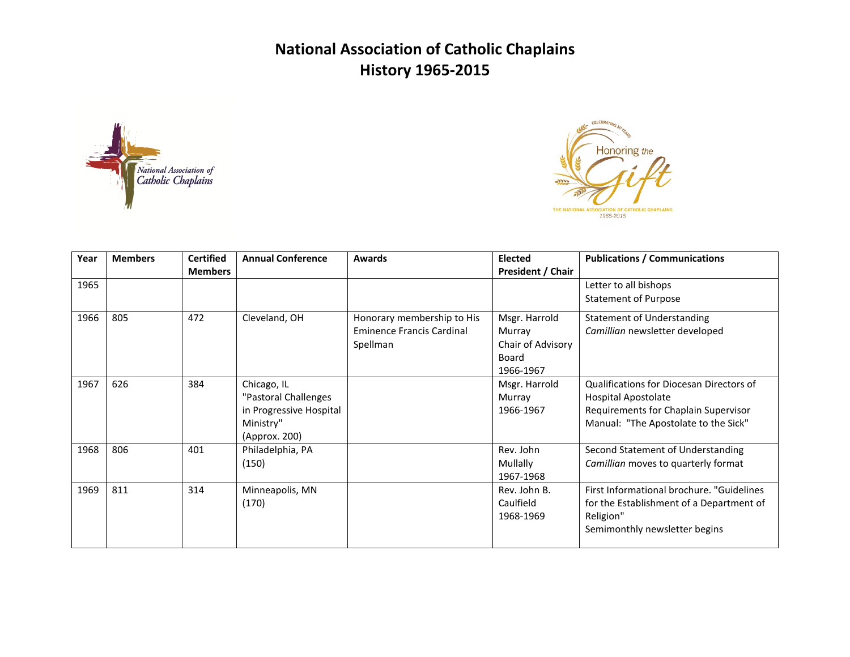



| Year | <b>Members</b> | <b>Certified</b> | <b>Annual Conference</b> | Awards                           | <b>Elected</b>           | <b>Publications / Communications</b>      |
|------|----------------|------------------|--------------------------|----------------------------------|--------------------------|-------------------------------------------|
|      |                | <b>Members</b>   |                          |                                  | <b>President / Chair</b> |                                           |
| 1965 |                |                  |                          |                                  |                          | Letter to all bishops                     |
|      |                |                  |                          |                                  |                          | <b>Statement of Purpose</b>               |
| 1966 | 805            | 472              | Cleveland, OH            | Honorary membership to His       | Msgr. Harrold            | <b>Statement of Understanding</b>         |
|      |                |                  |                          | <b>Eminence Francis Cardinal</b> | Murray                   | Camillian newsletter developed            |
|      |                |                  |                          | Spellman                         | Chair of Advisory        |                                           |
|      |                |                  |                          |                                  | Board                    |                                           |
|      |                |                  |                          |                                  | 1966-1967                |                                           |
| 1967 | 626            | 384              | Chicago, IL              |                                  | Msgr. Harrold            | Qualifications for Diocesan Directors of  |
|      |                |                  | "Pastoral Challenges     |                                  | Murray                   | <b>Hospital Apostolate</b>                |
|      |                |                  | in Progressive Hospital  |                                  | 1966-1967                | Requirements for Chaplain Supervisor      |
|      |                |                  | Ministry"                |                                  |                          | Manual: "The Apostolate to the Sick"      |
|      |                |                  | (Approx. 200)            |                                  |                          |                                           |
| 1968 | 806            | 401              | Philadelphia, PA         |                                  | Rev. John                | Second Statement of Understanding         |
|      |                |                  | (150)                    |                                  | Mullally                 | Camillian moves to quarterly format       |
|      |                |                  |                          |                                  | 1967-1968                |                                           |
| 1969 | 811            | 314              | Minneapolis, MN          |                                  | Rev. John B.             | First Informational brochure. "Guidelines |
|      |                |                  | (170)                    |                                  | Caulfield                | for the Establishment of a Department of  |
|      |                |                  |                          |                                  | 1968-1969                | Religion"                                 |
|      |                |                  |                          |                                  |                          | Semimonthly newsletter begins             |
|      |                |                  |                          |                                  |                          |                                           |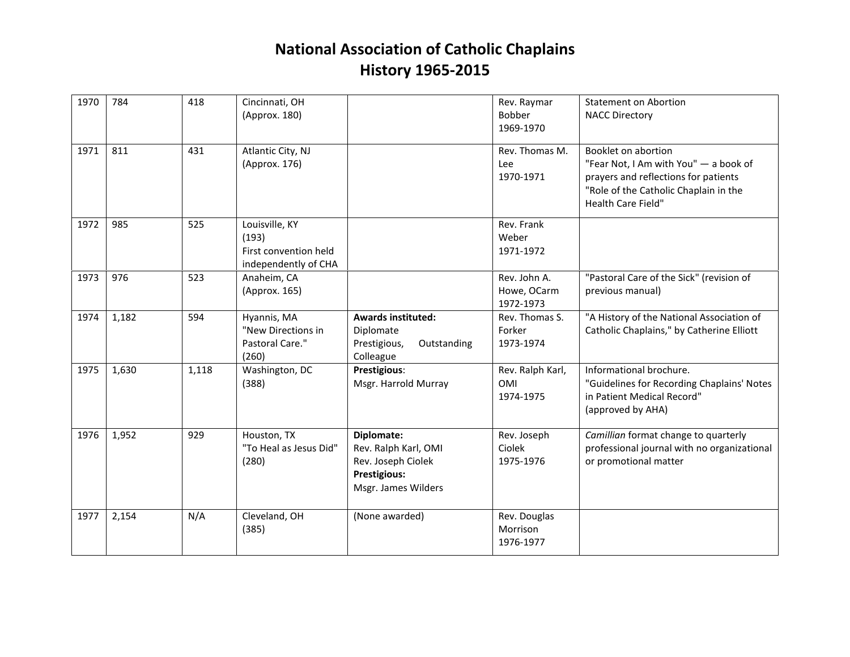| 1970 | 784   | 418   | Cincinnati, OH<br>(Approx. 180)                                          |                                                                                                        | Rev. Raymar<br>Bobber<br>1969-1970          | <b>Statement on Abortion</b><br><b>NACC Directory</b>                                                                                                                      |
|------|-------|-------|--------------------------------------------------------------------------|--------------------------------------------------------------------------------------------------------|---------------------------------------------|----------------------------------------------------------------------------------------------------------------------------------------------------------------------------|
| 1971 | 811   | 431   | Atlantic City, NJ<br>(Approx. 176)                                       |                                                                                                        | Rev. Thomas M.<br>Lee<br>1970-1971          | Booklet on abortion<br>"Fear Not, I Am with You" - a book of<br>prayers and reflections for patients<br>"Role of the Catholic Chaplain in the<br><b>Health Care Field"</b> |
| 1972 | 985   | 525   | Louisville, KY<br>(193)<br>First convention held<br>independently of CHA |                                                                                                        | Rev. Frank<br>Weber<br>1971-1972            |                                                                                                                                                                            |
| 1973 | 976   | 523   | Anaheim, CA<br>(Approx. 165)                                             |                                                                                                        | Rev. John A.<br>Howe, OCarm<br>1972-1973    | "Pastoral Care of the Sick" (revision of<br>previous manual)                                                                                                               |
| 1974 | 1,182 | 594   | Hyannis, MA<br>"New Directions in<br>Pastoral Care."<br>(260)            | <b>Awards instituted:</b><br>Diplomate<br>Prestigious,<br>Outstanding<br>Colleague                     | Rev. Thomas S.<br>Forker<br>1973-1974       | "A History of the National Association of<br>Catholic Chaplains," by Catherine Elliott                                                                                     |
| 1975 | 1,630 | 1,118 | Washington, DC<br>(388)                                                  | Prestigious:<br>Msgr. Harrold Murray                                                                   | Rev. Ralph Karl,<br><b>OMI</b><br>1974-1975 | Informational brochure.<br>"Guidelines for Recording Chaplains' Notes<br>in Patient Medical Record"<br>(approved by AHA)                                                   |
| 1976 | 1,952 | 929   | Houston, TX<br>"To Heal as Jesus Did"<br>(280)                           | Diplomate:<br>Rev. Ralph Karl, OMI<br>Rev. Joseph Ciolek<br><b>Prestigious:</b><br>Msgr. James Wilders | Rev. Joseph<br>Ciolek<br>1975-1976          | Camillian format change to quarterly<br>professional journal with no organizational<br>or promotional matter                                                               |
| 1977 | 2,154 | N/A   | Cleveland, OH<br>(385)                                                   | (None awarded)                                                                                         | Rev. Douglas<br>Morrison<br>1976-1977       |                                                                                                                                                                            |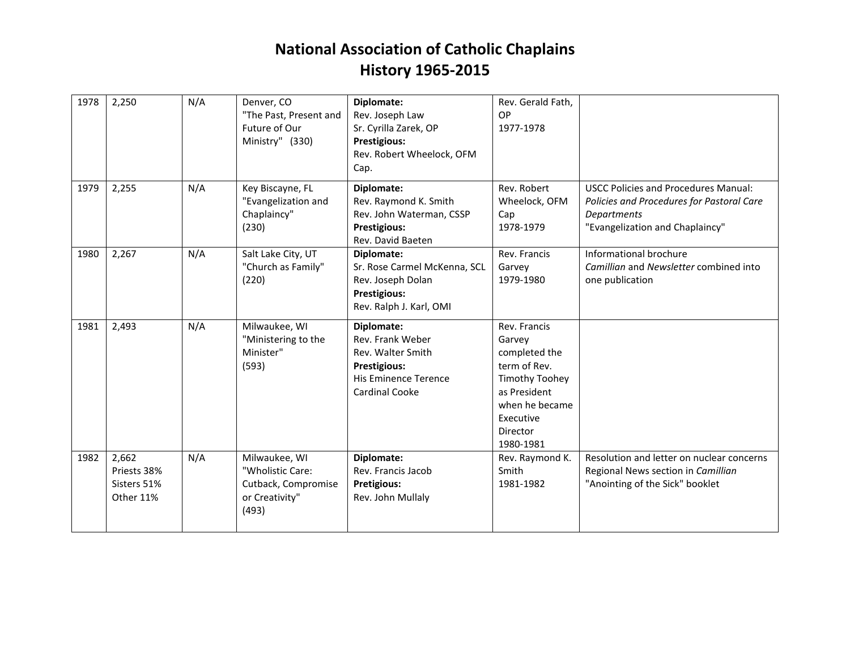| 1978 | 2,250                                            | N/A | Denver, CO<br>"The Past, Present and<br>Future of Our<br>Ministry" (330)            | Diplomate:<br>Rev. Joseph Law<br>Sr. Cyrilla Zarek, OP<br>Prestigious:<br>Rev. Robert Wheelock, OFM<br>Cap.                 | Rev. Gerald Fath,<br>OP<br>1977-1978                                                                                                                     |                                                                                                                                            |
|------|--------------------------------------------------|-----|-------------------------------------------------------------------------------------|-----------------------------------------------------------------------------------------------------------------------------|----------------------------------------------------------------------------------------------------------------------------------------------------------|--------------------------------------------------------------------------------------------------------------------------------------------|
| 1979 | 2,255                                            | N/A | Key Biscayne, FL<br>"Evangelization and<br>Chaplaincy"<br>(230)                     | Diplomate:<br>Rev. Raymond K. Smith<br>Rev. John Waterman, CSSP<br><b>Prestigious:</b><br>Rev. David Baeten                 | Rev. Robert<br>Wheelock, OFM<br>Cap<br>1978-1979                                                                                                         | <b>USCC Policies and Procedures Manual:</b><br>Policies and Procedures for Pastoral Care<br>Departments<br>"Evangelization and Chaplaincy" |
| 1980 | 2,267                                            | N/A | Salt Lake City, UT<br>"Church as Family"<br>(220)                                   | Diplomate:<br>Sr. Rose Carmel McKenna, SCL<br>Rev. Joseph Dolan<br>Prestigious:<br>Rev. Ralph J. Karl, OMI                  | Rev. Francis<br>Garvey<br>1979-1980                                                                                                                      | Informational brochure<br>Camillian and Newsletter combined into<br>one publication                                                        |
| 1981 | 2,493                                            | N/A | Milwaukee, WI<br>"Ministering to the<br>Minister"<br>(593)                          | Diplomate:<br>Rev. Frank Weber<br>Rev. Walter Smith<br><b>Prestigious:</b><br>His Eminence Terence<br><b>Cardinal Cooke</b> | Rev. Francis<br>Garvey<br>completed the<br>term of Rev.<br><b>Timothy Toohey</b><br>as President<br>when he became<br>Executive<br>Director<br>1980-1981 |                                                                                                                                            |
| 1982 | 2,662<br>Priests 38%<br>Sisters 51%<br>Other 11% | N/A | Milwaukee, WI<br>"Wholistic Care:<br>Cutback, Compromise<br>or Creativity"<br>(493) | Diplomate:<br>Rev. Francis Jacob<br><b>Pretigious:</b><br>Rev. John Mullaly                                                 | Rev. Raymond K.<br>Smith<br>1981-1982                                                                                                                    | Resolution and letter on nuclear concerns<br>Regional News section in Camillian<br>"Anointing of the Sick" booklet                         |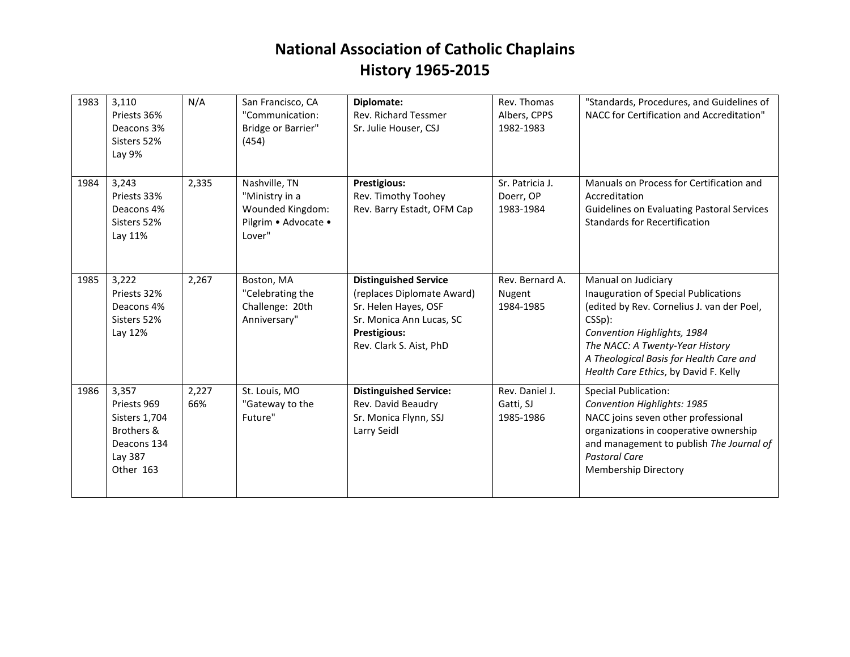| 1983 | 3,110<br>Priests 36%<br>Deacons 3%<br>Sisters 52%<br>Lay 9%                                | N/A          | San Francisco, CA<br>"Communication:<br>Bridge or Barrier"<br>(454)                   | Diplomate:<br><b>Rev. Richard Tessmer</b><br>Sr. Julie Houser, CSJ                                                                                        | Rev. Thomas<br>Albers, CPPS<br>1982-1983  | "Standards, Procedures, and Guidelines of<br>NACC for Certification and Accreditation"                                                                                                                                                                                      |
|------|--------------------------------------------------------------------------------------------|--------------|---------------------------------------------------------------------------------------|-----------------------------------------------------------------------------------------------------------------------------------------------------------|-------------------------------------------|-----------------------------------------------------------------------------------------------------------------------------------------------------------------------------------------------------------------------------------------------------------------------------|
| 1984 | 3,243<br>Priests 33%<br>Deacons 4%<br>Sisters 52%<br>Lay 11%                               | 2,335        | Nashville, TN<br>"Ministry in a<br>Wounded Kingdom:<br>Pilgrim . Advocate .<br>Lover" | <b>Prestigious:</b><br>Rev. Timothy Toohey<br>Rev. Barry Estadt, OFM Cap                                                                                  | Sr. Patricia J.<br>Doerr, OP<br>1983-1984 | Manuals on Process for Certification and<br>Accreditation<br><b>Guidelines on Evaluating Pastoral Services</b><br>Standards for Recertification                                                                                                                             |
| 1985 | 3,222<br>Priests 32%<br>Deacons 4%<br>Sisters 52%<br>Lay 12%                               | 2,267        | Boston, MA<br>"Celebrating the<br>Challenge: 20th<br>Anniversary"                     | <b>Distinguished Service</b><br>(replaces Diplomate Award)<br>Sr. Helen Hayes, OSF<br>Sr. Monica Ann Lucas, SC<br>Prestigious:<br>Rev. Clark S. Aist, PhD | Rev. Bernard A.<br>Nugent<br>1984-1985    | Manual on Judiciary<br>Inauguration of Special Publications<br>(edited by Rev. Cornelius J. van der Poel,<br>$CSSp$ :<br>Convention Highlights, 1984<br>The NACC: A Twenty-Year History<br>A Theological Basis for Health Care and<br>Health Care Ethics, by David F. Kelly |
| 1986 | 3,357<br>Priests 969<br>Sisters 1,704<br>Brothers &<br>Deacons 134<br>Lay 387<br>Other 163 | 2,227<br>66% | St. Louis, MO<br>"Gateway to the<br>Future"                                           | <b>Distinguished Service:</b><br>Rev. David Beaudry<br>Sr. Monica Flynn, SSJ<br>Larry Seidl                                                               | Rev. Daniel J.<br>Gatti, SJ<br>1985-1986  | <b>Special Publication:</b><br>Convention Highlights: 1985<br>NACC joins seven other professional<br>organizations in cooperative ownership<br>and management to publish The Journal of<br>Pastoral Care<br><b>Membership Directory</b>                                     |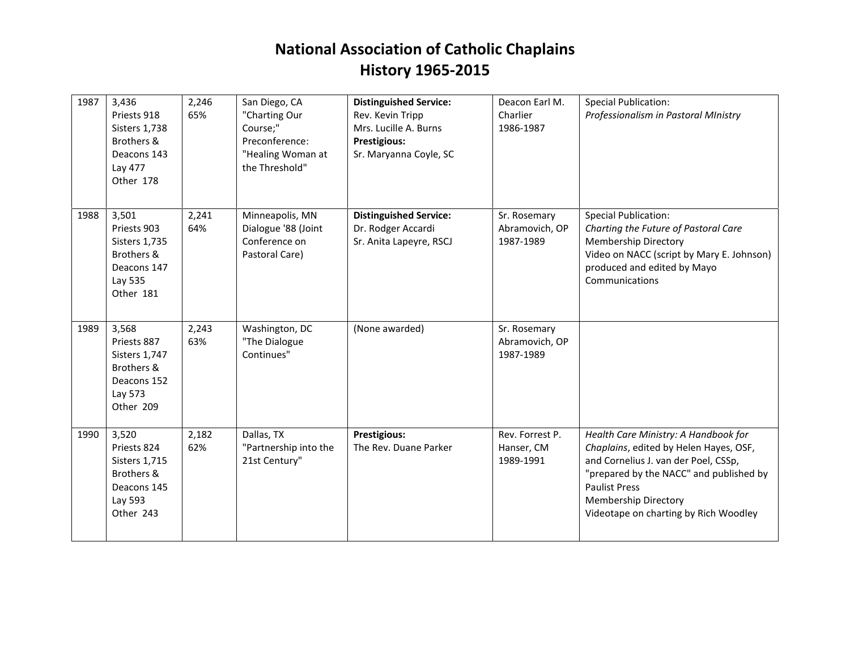| 1987 | 3,436<br>Priests 918<br><b>Sisters 1,738</b><br>Brothers &<br>Deacons 143<br>Lay 477<br>Other 178 | 2,246<br>65% | San Diego, CA<br>"Charting Our<br>Course;"<br>Preconference:<br>"Healing Woman at<br>the Threshold" | <b>Distinguished Service:</b><br>Rev. Kevin Tripp<br>Mrs. Lucille A. Burns<br><b>Prestigious:</b><br>Sr. Maryanna Coyle, SC | Deacon Earl M.<br>Charlier<br>1986-1987     | <b>Special Publication:</b><br>Professionalism in Pastoral MInistry                                                                                                                                                                                               |
|------|---------------------------------------------------------------------------------------------------|--------------|-----------------------------------------------------------------------------------------------------|-----------------------------------------------------------------------------------------------------------------------------|---------------------------------------------|-------------------------------------------------------------------------------------------------------------------------------------------------------------------------------------------------------------------------------------------------------------------|
| 1988 | 3,501<br>Priests 903<br>Sisters 1,735<br>Brothers &<br>Deacons 147<br>Lay 535<br>Other 181        | 2,241<br>64% | Minneapolis, MN<br>Dialogue '88 (Joint<br>Conference on<br>Pastoral Care)                           | <b>Distinguished Service:</b><br>Dr. Rodger Accardi<br>Sr. Anita Lapeyre, RSCJ                                              | Sr. Rosemary<br>Abramovich, OP<br>1987-1989 | <b>Special Publication:</b><br>Charting the Future of Pastoral Care<br><b>Membership Directory</b><br>Video on NACC (script by Mary E. Johnson)<br>produced and edited by Mayo<br>Communications                                                                  |
| 1989 | 3,568<br>Priests 887<br><b>Sisters 1,747</b><br>Brothers &<br>Deacons 152<br>Lay 573<br>Other 209 | 2,243<br>63% | Washington, DC<br>"The Dialogue<br>Continues"                                                       | (None awarded)                                                                                                              | Sr. Rosemary<br>Abramovich, OP<br>1987-1989 |                                                                                                                                                                                                                                                                   |
| 1990 | 3,520<br>Priests 824<br><b>Sisters 1,715</b><br>Brothers &<br>Deacons 145<br>Lay 593<br>Other 243 | 2,182<br>62% | Dallas, TX<br>"Partnership into the<br>21st Century"                                                | <b>Prestigious:</b><br>The Rev. Duane Parker                                                                                | Rev. Forrest P.<br>Hanser, CM<br>1989-1991  | Health Care Ministry: A Handbook for<br>Chaplains, edited by Helen Hayes, OSF,<br>and Cornelius J. van der Poel, CSSp,<br>"prepared by the NACC" and published by<br><b>Paulist Press</b><br><b>Membership Directory</b><br>Videotape on charting by Rich Woodley |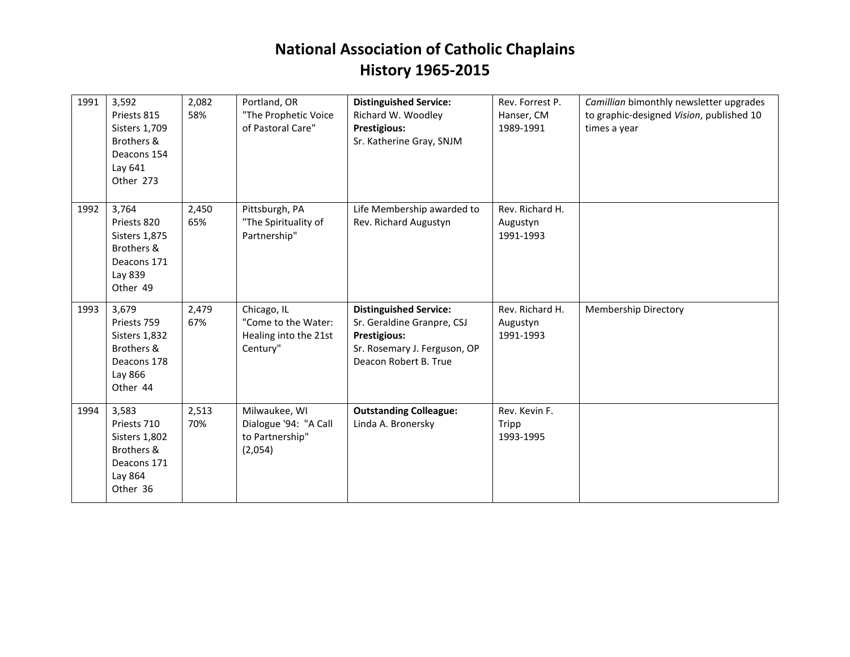| 1991 | 3,592<br>Priests 815<br>Sisters 1,709<br>Brothers &<br>Deacons 154<br>Lay 641<br>Other 273       | 2,082<br>58% | Portland, OR<br>"The Prophetic Voice<br>of Pastoral Care"               | <b>Distinguished Service:</b><br>Richard W. Woodley<br>Prestigious:<br>Sr. Katherine Gray, SNJM                                             | Rev. Forrest P.<br>Hanser, CM<br>1989-1991 | Camillian bimonthly newsletter upgrades<br>to graphic-designed Vision, published 10<br>times a year |
|------|--------------------------------------------------------------------------------------------------|--------------|-------------------------------------------------------------------------|---------------------------------------------------------------------------------------------------------------------------------------------|--------------------------------------------|-----------------------------------------------------------------------------------------------------|
| 1992 | 3,764<br>Priests 820<br><b>Sisters 1,875</b><br>Brothers &<br>Deacons 171<br>Lay 839<br>Other 49 | 2,450<br>65% | Pittsburgh, PA<br>"The Spirituality of<br>Partnership"                  | Life Membership awarded to<br>Rev. Richard Augustyn                                                                                         | Rev. Richard H.<br>Augustyn<br>1991-1993   |                                                                                                     |
| 1993 | 3,679<br>Priests 759<br>Sisters 1,832<br>Brothers &<br>Deacons 178<br>Lay 866<br>Other 44        | 2,479<br>67% | Chicago, IL<br>"Come to the Water:<br>Healing into the 21st<br>Century" | <b>Distinguished Service:</b><br>Sr. Geraldine Granpre, CSJ<br><b>Prestigious:</b><br>Sr. Rosemary J. Ferguson, OP<br>Deacon Robert B. True | Rev. Richard H.<br>Augustyn<br>1991-1993   | <b>Membership Directory</b>                                                                         |
| 1994 | 3,583<br>Priests 710<br>Sisters 1,802<br>Brothers &<br>Deacons 171<br>Lay 864<br>Other 36        | 2,513<br>70% | Milwaukee, WI<br>Dialogue '94: "A Call<br>to Partnership"<br>(2,054)    | <b>Outstanding Colleague:</b><br>Linda A. Bronersky                                                                                         | Rev. Kevin F.<br>Tripp<br>1993-1995        |                                                                                                     |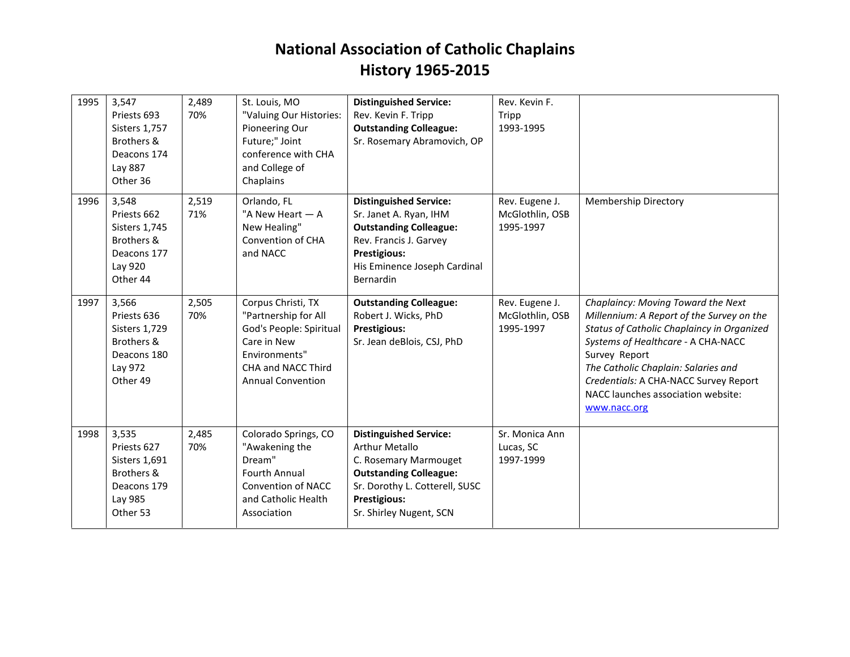| 1995 | 3,547<br>Priests 693<br><b>Sisters 1,757</b><br>Brothers &<br>Deacons 174<br>Lay 887<br>Other 36 | 2,489<br>70% | St. Louis, MO<br>"Valuing Our Histories:<br>Pioneering Our<br>Future;" Joint<br>conference with CHA<br>and College of<br>Chaplains                      | <b>Distinguished Service:</b><br>Rev. Kevin F. Tripp<br><b>Outstanding Colleague:</b><br>Sr. Rosemary Abramovich, OP                                                                          | Rev. Kevin F.<br>Tripp<br>1993-1995            |                                                                                                                                                                                                                                                                                                                            |
|------|--------------------------------------------------------------------------------------------------|--------------|---------------------------------------------------------------------------------------------------------------------------------------------------------|-----------------------------------------------------------------------------------------------------------------------------------------------------------------------------------------------|------------------------------------------------|----------------------------------------------------------------------------------------------------------------------------------------------------------------------------------------------------------------------------------------------------------------------------------------------------------------------------|
| 1996 | 3,548<br>Priests 662<br><b>Sisters 1,745</b><br>Brothers &<br>Deacons 177<br>Lay 920<br>Other 44 | 2,519<br>71% | Orlando, FL<br>"A New Heart - A<br>New Healing"<br>Convention of CHA<br>and NACC                                                                        | <b>Distinguished Service:</b><br>Sr. Janet A. Ryan, IHM<br><b>Outstanding Colleague:</b><br>Rev. Francis J. Garvey<br><b>Prestigious:</b><br>His Eminence Joseph Cardinal<br>Bernardin        | Rev. Eugene J.<br>McGlothlin, OSB<br>1995-1997 | <b>Membership Directory</b>                                                                                                                                                                                                                                                                                                |
| 1997 | 3,566<br>Priests 636<br>Sisters 1,729<br>Brothers &<br>Deacons 180<br>Lay 972<br>Other 49        | 2,505<br>70% | Corpus Christi, TX<br>"Partnership for All<br>God's People: Spiritual<br>Care in New<br>Environments"<br>CHA and NACC Third<br><b>Annual Convention</b> | <b>Outstanding Colleague:</b><br>Robert J. Wicks, PhD<br>Prestigious:<br>Sr. Jean deBlois, CSJ, PhD                                                                                           | Rev. Eugene J.<br>McGlothlin, OSB<br>1995-1997 | Chaplaincy: Moving Toward the Next<br>Millennium: A Report of the Survey on the<br>Status of Catholic Chaplaincy in Organized<br>Systems of Healthcare - A CHA-NACC<br>Survey Report<br>The Catholic Chaplain: Salaries and<br>Credentials: A CHA-NACC Survey Report<br>NACC launches association website:<br>www.nacc.org |
| 1998 | 3,535<br>Priests 627<br><b>Sisters 1,691</b><br>Brothers &<br>Deacons 179<br>Lay 985<br>Other 53 | 2,485<br>70% | Colorado Springs, CO<br>"Awakening the<br>Dream"<br><b>Fourth Annual</b><br><b>Convention of NACC</b><br>and Catholic Health<br>Association             | <b>Distinguished Service:</b><br><b>Arthur Metallo</b><br>C. Rosemary Marmouget<br><b>Outstanding Colleague:</b><br>Sr. Dorothy L. Cotterell, SUSC<br>Prestigious:<br>Sr. Shirley Nugent, SCN | Sr. Monica Ann<br>Lucas, SC<br>1997-1999       |                                                                                                                                                                                                                                                                                                                            |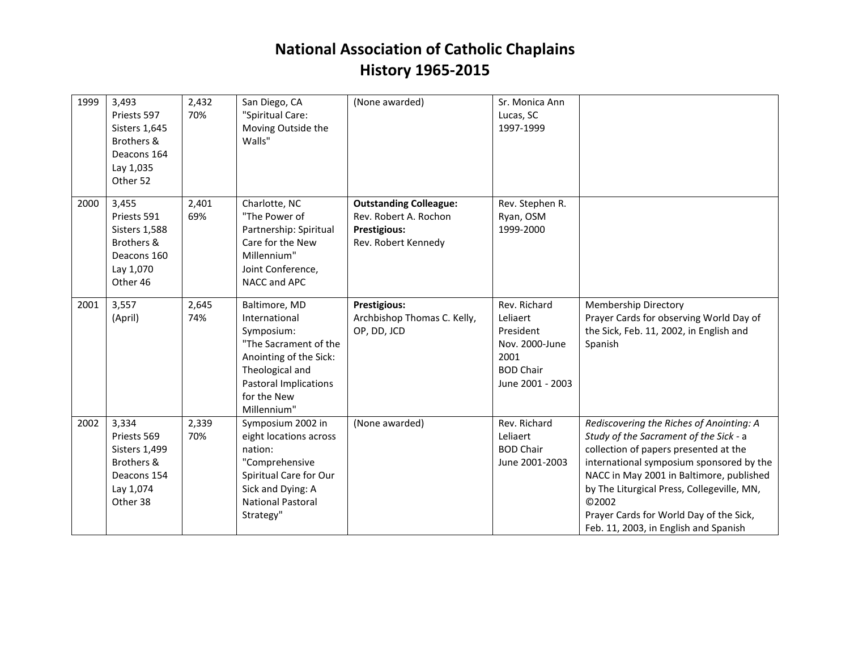| 1999 | 3,493<br>Priests 597<br><b>Sisters 1,645</b><br>Brothers &<br>Deacons 164<br>Lay 1,035<br>Other 52 | 2,432<br>70% | San Diego, CA<br>"Spiritual Care:<br>Moving Outside the<br>Walls"                                                                                                                | (None awarded)                                                                                | Sr. Monica Ann<br>Lucas, SC<br>1997-1999                                                                |                                                                                                                                                                                                                                                                                                                                                                |
|------|----------------------------------------------------------------------------------------------------|--------------|----------------------------------------------------------------------------------------------------------------------------------------------------------------------------------|-----------------------------------------------------------------------------------------------|---------------------------------------------------------------------------------------------------------|----------------------------------------------------------------------------------------------------------------------------------------------------------------------------------------------------------------------------------------------------------------------------------------------------------------------------------------------------------------|
| 2000 | 3,455<br>Priests 591<br><b>Sisters 1,588</b><br>Brothers &<br>Deacons 160<br>Lay 1,070<br>Other 46 | 2,401<br>69% | Charlotte, NC<br>"The Power of<br>Partnership: Spiritual<br>Care for the New<br>Millennium"<br>Joint Conference,<br>NACC and APC                                                 | <b>Outstanding Colleague:</b><br>Rev. Robert A. Rochon<br>Prestigious:<br>Rev. Robert Kennedy | Rev. Stephen R.<br>Ryan, OSM<br>1999-2000                                                               |                                                                                                                                                                                                                                                                                                                                                                |
| 2001 | 3,557<br>(April)                                                                                   | 2,645<br>74% | Baltimore, MD<br>International<br>Symposium:<br>"The Sacrament of the<br>Anointing of the Sick:<br>Theological and<br><b>Pastoral Implications</b><br>for the New<br>Millennium" | Prestigious:<br>Archbishop Thomas C. Kelly,<br>OP, DD, JCD                                    | Rev. Richard<br>Leliaert<br>President<br>Nov. 2000-June<br>2001<br><b>BOD Chair</b><br>June 2001 - 2003 | <b>Membership Directory</b><br>Prayer Cards for observing World Day of<br>the Sick, Feb. 11, 2002, in English and<br>Spanish                                                                                                                                                                                                                                   |
| 2002 | 3,334<br>Priests 569<br>Sisters 1,499<br>Brothers &<br>Deacons 154<br>Lay 1,074<br>Other 38        | 2,339<br>70% | Symposium 2002 in<br>eight locations across<br>nation:<br>"Comprehensive<br>Spiritual Care for Our<br>Sick and Dying: A<br><b>National Pastoral</b><br>Strategy"                 | (None awarded)                                                                                | Rev. Richard<br>Leliaert<br><b>BOD Chair</b><br>June 2001-2003                                          | Rediscovering the Riches of Anointing: A<br>Study of the Sacrament of the Sick - a<br>collection of papers presented at the<br>international symposium sponsored by the<br>NACC in May 2001 in Baltimore, published<br>by The Liturgical Press, Collegeville, MN,<br>©2002<br>Prayer Cards for World Day of the Sick,<br>Feb. 11, 2003, in English and Spanish |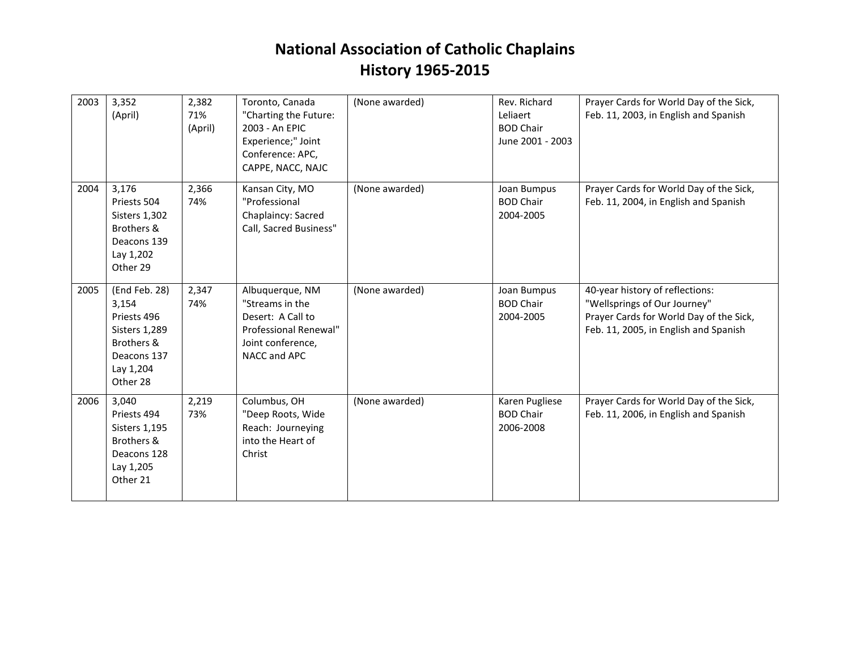| 2003 | 3,352<br>(April)                                                                                                    | 2,382<br>71%<br>(April) | Toronto, Canada<br>"Charting the Future:<br>2003 - An EPIC<br>Experience;" Joint<br>Conference: APC,<br>CAPPE, NACC, NAJC | (None awarded) | Rev. Richard<br>Leliaert<br><b>BOD Chair</b><br>June 2001 - 2003 | Prayer Cards for World Day of the Sick,<br>Feb. 11, 2003, in English and Spanish                                                                    |
|------|---------------------------------------------------------------------------------------------------------------------|-------------------------|---------------------------------------------------------------------------------------------------------------------------|----------------|------------------------------------------------------------------|-----------------------------------------------------------------------------------------------------------------------------------------------------|
| 2004 | 3,176<br>Priests 504<br><b>Sisters 1,302</b><br>Brothers &<br>Deacons 139<br>Lay 1,202<br>Other 29                  | 2,366<br>74%            | Kansan City, MO<br>"Professional<br>Chaplaincy: Sacred<br>Call, Sacred Business"                                          | (None awarded) | Joan Bumpus<br><b>BOD Chair</b><br>2004-2005                     | Prayer Cards for World Day of the Sick,<br>Feb. 11, 2004, in English and Spanish                                                                    |
| 2005 | (End Feb. 28)<br>3,154<br>Priests 496<br><b>Sisters 1,289</b><br>Brothers &<br>Deacons 137<br>Lay 1,204<br>Other 28 | 2,347<br>74%            | Albuquerque, NM<br>"Streams in the<br>Desert: A Call to<br>Professional Renewal"<br>Joint conference,<br>NACC and APC     | (None awarded) | Joan Bumpus<br><b>BOD Chair</b><br>2004-2005                     | 40-year history of reflections:<br>"Wellsprings of Our Journey"<br>Prayer Cards for World Day of the Sick,<br>Feb. 11, 2005, in English and Spanish |
| 2006 | 3,040<br>Priests 494<br>Sisters 1,195<br>Brothers &<br>Deacons 128<br>Lay 1,205<br>Other 21                         | 2,219<br>73%            | Columbus, OH<br>"Deep Roots, Wide<br>Reach: Journeying<br>into the Heart of<br>Christ                                     | (None awarded) | Karen Pugliese<br><b>BOD Chair</b><br>2006-2008                  | Prayer Cards for World Day of the Sick,<br>Feb. 11, 2006, in English and Spanish                                                                    |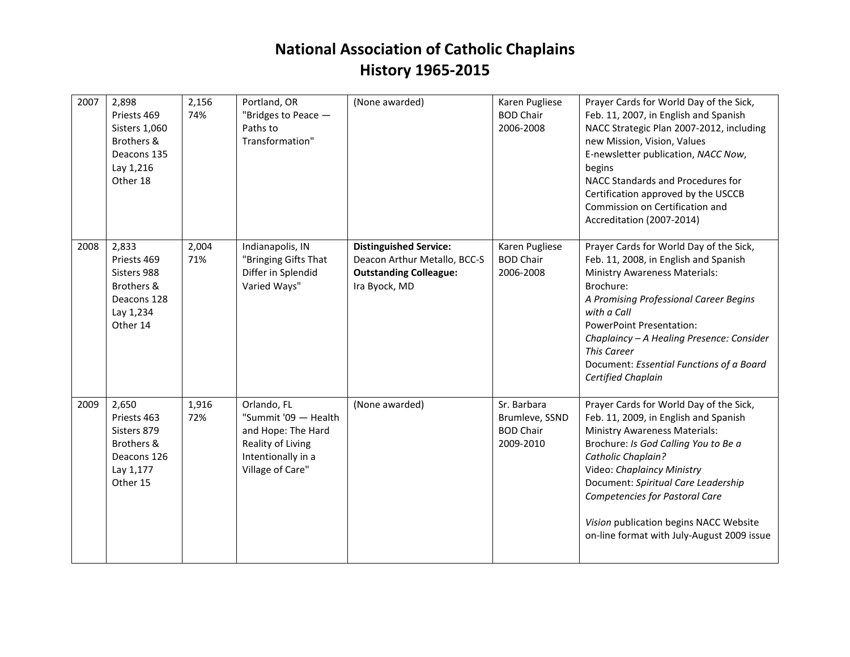| 2007 | 2,898<br>Priests 469<br>Sisters 1,060<br>Brothers &<br>Deacons 135<br>Lay 1,216<br>Other 18 | 2,156<br>74% | Portland, OR<br>"Bridges to Peace -<br>Paths to<br>Transformation"                                                       | (None awarded)                                                                                                  | Karen Pugliese<br><b>BOD Chair</b><br>2006-2008                | Prayer Cards for World Day of the Sick,<br>Feb. 11, 2007, in English and Spanish<br>NACC Strategic Plan 2007-2012, including<br>new Mission, Vision, Values<br>E-newsletter publication, NACC Now,<br>begins<br>NACC Standards and Procedures for<br>Certification approved by the USCCB<br>Commission on Certification and<br>Accreditation (2007-2014)                              |
|------|---------------------------------------------------------------------------------------------|--------------|--------------------------------------------------------------------------------------------------------------------------|-----------------------------------------------------------------------------------------------------------------|----------------------------------------------------------------|---------------------------------------------------------------------------------------------------------------------------------------------------------------------------------------------------------------------------------------------------------------------------------------------------------------------------------------------------------------------------------------|
| 2008 | 2,833<br>Priests 469<br>Sisters 988<br>Brothers &<br>Deacons 128<br>Lay 1,234<br>Other 14   | 2,004<br>71% | Indianapolis, IN<br>"Bringing Gifts That<br>Differ in Splendid<br>Varied Ways"                                           | <b>Distinguished Service:</b><br>Deacon Arthur Metallo, BCC-S<br><b>Outstanding Colleague:</b><br>Ira Byock, MD | Karen Pugliese<br><b>BOD Chair</b><br>2006-2008                | Prayer Cards for World Day of the Sick,<br>Feb. 11, 2008, in English and Spanish<br><b>Ministry Awareness Materials:</b><br>Brochure:<br>A Promising Professional Career Begins<br>with a Call<br><b>PowerPoint Presentation:</b><br>Chaplaincy - A Healing Presence: Consider<br><b>This Career</b><br>Document: Essential Functions of a Board<br>Certified Chaplain                |
| 2009 | 2,650<br>Priests 463<br>Sisters 879<br>Brothers &<br>Deacons 126<br>Lay 1,177<br>Other 15   | 1,916<br>72% | Orlando, FL<br>"Summit '09 - Health<br>and Hope: The Hard<br>Reality of Living<br>Intentionally in a<br>Village of Care" | (None awarded)                                                                                                  | Sr. Barbara<br>Brumleve, SSND<br><b>BOD Chair</b><br>2009-2010 | Prayer Cards for World Day of the Sick,<br>Feb. 11, 2009, in English and Spanish<br><b>Ministry Awareness Materials:</b><br>Brochure: Is God Calling You to Be a<br>Catholic Chaplain?<br>Video: Chaplaincy Ministry<br>Document: Spiritual Care Leadership<br>Competencies for Pastoral Care<br>Vision publication begins NACC Website<br>on-line format with July-August 2009 issue |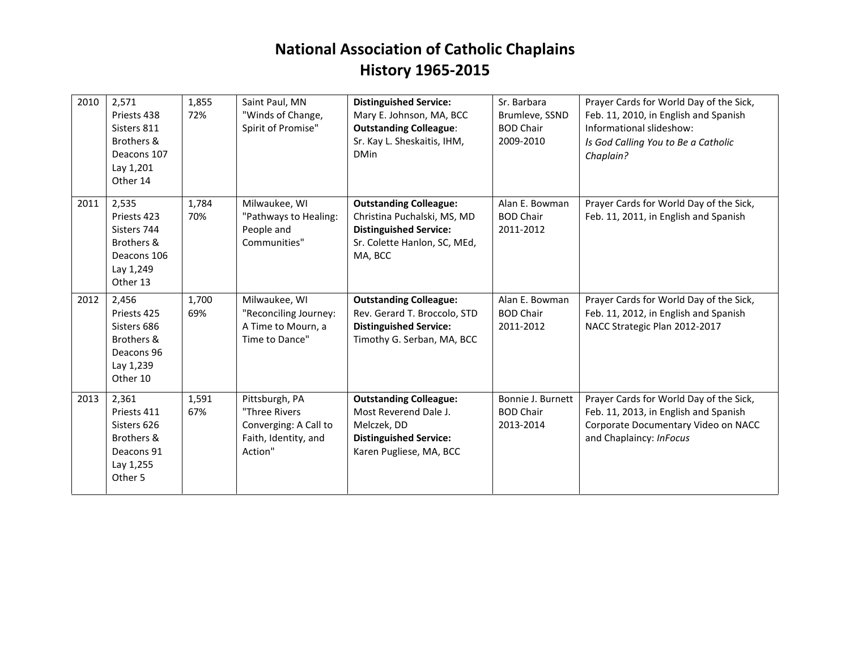| 2010 | 2,571<br>Priests 438<br>Sisters 811<br>Brothers &<br>Deacons 107<br>Lay 1,201<br>Other 14 | 1,855<br>72% | Saint Paul, MN<br>"Winds of Change,<br>Spirit of Promise"                                   | <b>Distinguished Service:</b><br>Mary E. Johnson, MA, BCC<br><b>Outstanding Colleague:</b><br>Sr. Kay L. Sheskaitis, IHM,<br><b>DMin</b> | Sr. Barbara<br>Brumleve, SSND<br><b>BOD Chair</b><br>2009-2010 | Prayer Cards for World Day of the Sick,<br>Feb. 11, 2010, in English and Spanish<br>Informational slideshow:<br>Is God Calling You to Be a Catholic<br>Chaplain? |
|------|-------------------------------------------------------------------------------------------|--------------|---------------------------------------------------------------------------------------------|------------------------------------------------------------------------------------------------------------------------------------------|----------------------------------------------------------------|------------------------------------------------------------------------------------------------------------------------------------------------------------------|
| 2011 | 2,535<br>Priests 423<br>Sisters 744<br>Brothers &<br>Deacons 106<br>Lay 1,249<br>Other 13 | 1,784<br>70% | Milwaukee, WI<br>"Pathways to Healing:<br>People and<br>Communities"                        | <b>Outstanding Colleague:</b><br>Christina Puchalski, MS, MD<br><b>Distinguished Service:</b><br>Sr. Colette Hanlon, SC, MEd,<br>MA, BCC | Alan E. Bowman<br><b>BOD Chair</b><br>2011-2012                | Prayer Cards for World Day of the Sick,<br>Feb. 11, 2011, in English and Spanish                                                                                 |
| 2012 | 2,456<br>Priests 425<br>Sisters 686<br>Brothers &<br>Deacons 96<br>Lay 1,239<br>Other 10  | 1,700<br>69% | Milwaukee, WI<br>"Reconciling Journey:<br>A Time to Mourn, a<br>Time to Dance"              | <b>Outstanding Colleague:</b><br>Rev. Gerard T. Broccolo, STD<br><b>Distinguished Service:</b><br>Timothy G. Serban, MA, BCC             | Alan E. Bowman<br><b>BOD Chair</b><br>2011-2012                | Prayer Cards for World Day of the Sick,<br>Feb. 11, 2012, in English and Spanish<br>NACC Strategic Plan 2012-2017                                                |
| 2013 | 2,361<br>Priests 411<br>Sisters 626<br>Brothers &<br>Deacons 91<br>Lay 1,255<br>Other 5   | 1,591<br>67% | Pittsburgh, PA<br>"Three Rivers<br>Converging: A Call to<br>Faith, Identity, and<br>Action" | <b>Outstanding Colleague:</b><br>Most Reverend Dale J.<br>Melczek, DD<br><b>Distinguished Service:</b><br>Karen Pugliese, MA, BCC        | Bonnie J. Burnett<br><b>BOD Chair</b><br>2013-2014             | Prayer Cards for World Day of the Sick,<br>Feb. 11, 2013, in English and Spanish<br>Corporate Documentary Video on NACC<br>and Chaplaincy: InFocus               |